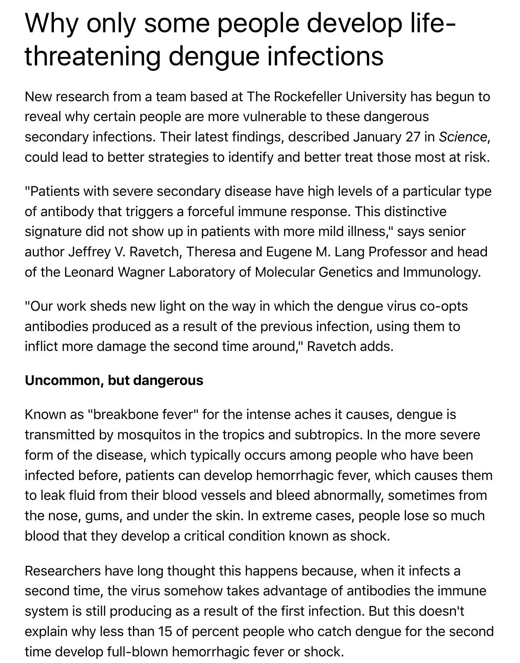## Why only some people develop lifethreatening dengue infections

New research from a team based at The Rockefeller University has begun to reveal why certain people are more vulnerable to these dangerous secondary infections. Their latest findings, described January 27 in *Science*, could lead to better strategies to identify and better treat those most at risk.

"Patients with severe secondary disease have high levels of a particular type of antibody that triggers a forceful immune response. This distinctive signature did not show up in patients with more mild illness," says senior author Jeffrey V. Ravetch, Theresa and Eugene M. Lang Professor and head of the Leonard Wagner Laboratory of Molecular Genetics and Immunology.

"Our work sheds new light on the way in which the dengue virus co-opts antibodies produced as a result of the previous infection, using them to inflict more damage the second time around," Ravetch adds.

## **Uncommon, but dangerous**

Known as "breakbone fever" for the intense aches it causes, dengue is transmitted by mosquitos in the tropics and subtropics. In the more severe form of the disease, which typically occurs among people who have been infected before, patients can develop hemorrhagic fever, which causes them to leak fluid from their blood vessels and bleed abnormally, sometimes from the nose, gums, and under the skin. In extreme cases, people lose so much blood that they develop a critical condition known as shock.

Researchers have long thought this happens because, when it infects a second time, the virus somehow takes advantage of antibodies the immune system is still producing as a result of the first infection. But this doesn't explain why less than 15 of percent people who catch dengue for the second time develop full-blown hemorrhagic fever or shock.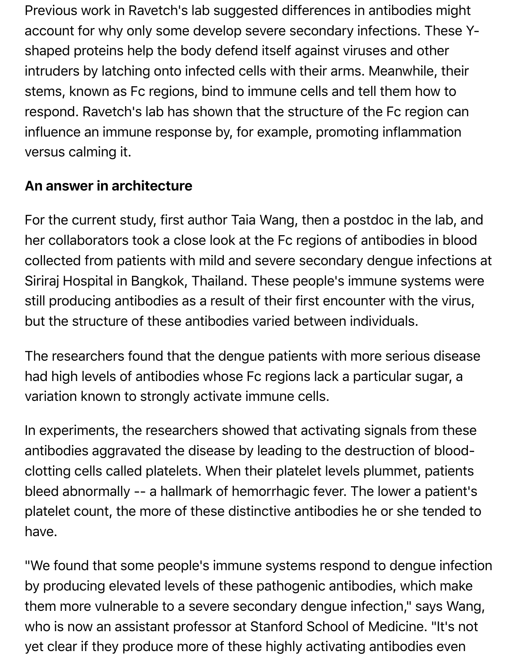Previous work in Ravetch's lab suggested differences in antibodies might account for why only some develop severe secondary infections. These Yshaped proteins help the body defend itself against viruses and other intruders by latching onto infected cells with their arms. Meanwhile, their stems, known as Fc regions, bind to immune cells and tell them how to respond. Ravetch's lab has shown that the structure of the Fc region can influence an immune response by, for example, promoting inflammation versus calming it.

## **An answer in architecture**

For the current study, first author Taia Wang, then a postdoc in the lab, and her collaborators took a close look at the Fc regions of antibodies in blood collected from patients with mild and severe secondary dengue infections at Siriraj Hospital in Bangkok, Thailand. These people's immune systems were still producing antibodies as a result of their first encounter with the virus, but the structure of these antibodies varied between individuals.

The researchers found that the dengue patients with more serious disease had high levels of antibodies whose Fc regions lack a particular sugar, a variation known to strongly activate immune cells.

In experiments, the researchers showed that activating signals from these antibodies aggravated the disease by leading to the destruction of bloodclotting cells called platelets. When their platelet levels plummet, patients bleed abnormally -- a hallmark of hemorrhagic fever. The lower a patient's platelet count, the more of these distinctive antibodies he or she tended to have.

"We found that some people's immune systems respond to dengue infection by producing elevated levels of these pathogenic antibodies, which make them more vulnerable to a severe secondary dengue infection," says Wang, who is now an assistant professor at Stanford School of Medicine. "It's not yet clear if they produce more of these highly activating antibodies even